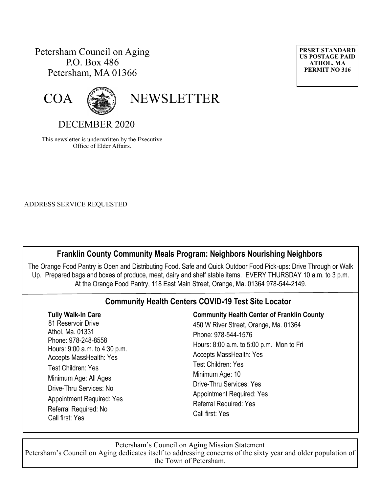## Petersham Council on Aging P.O. Box 486 Petersham, MA 01366





COA (SAMPLETTER

## DECEMBER 2020

This newsletter is underwritten by the Executive Office of Elder Affairs.

ADDRESS SERVICE REQUESTED

### **Franklin County Community Meals Program: Neighbors Nourishing Neighbors**

The Orange Food Pantry is Open and Distributing Food. Safe and Quick Outdoor Food Pick-ups: Drive Through or Walk Up. Prepared bags and boxes of produce, meat, dairy and shelf stable items. EVERY THURSDAY 10 a.m. to 3 p.m. At the Orange Food Pantry, 118 East Main Street, Orange, Ma. 01364 978-544-2149.

### **Community Health Centers COVID-19 Test Site Locator**

| <b>Tully Walk-In Care</b><br>81 Reservoir Drive<br>Athol, Ma. 01331<br>Phone: 978-248-8558<br>Hours: 9:00 a.m. to 4:30 p.m.<br><b>Accepts MassHealth: Yes</b><br><b>Test Children: Yes</b><br>Minimum Age: All Ages<br>Drive-Thru Services: No<br><b>Appointment Required: Yes</b><br>Referral Required: No<br>Call first: Yes | <b>Community Health Center of Franklin County</b><br>450 W River Street, Orange, Ma. 01364<br>Phone: 978-544-1576<br>Hours: 8:00 a.m. to 5:00 p.m. Mon to Fri<br><b>Accepts MassHealth: Yes</b><br><b>Test Children: Yes</b><br>Minimum Age: 10<br><b>Drive-Thru Services: Yes</b><br><b>Appointment Required: Yes</b><br>Referral Required: Yes<br>Call first: Yes |
|--------------------------------------------------------------------------------------------------------------------------------------------------------------------------------------------------------------------------------------------------------------------------------------------------------------------------------|---------------------------------------------------------------------------------------------------------------------------------------------------------------------------------------------------------------------------------------------------------------------------------------------------------------------------------------------------------------------|
|--------------------------------------------------------------------------------------------------------------------------------------------------------------------------------------------------------------------------------------------------------------------------------------------------------------------------------|---------------------------------------------------------------------------------------------------------------------------------------------------------------------------------------------------------------------------------------------------------------------------------------------------------------------------------------------------------------------|

Petersham's Council on Aging Mission Statement Petersham's Council on Aging dedicates itself to addressing concerns of the sixty year and older population of the Town of Petersham.

**PRSRT STANDARD US POSTAGE PAID ATHOL, MA PERMIT NO 316**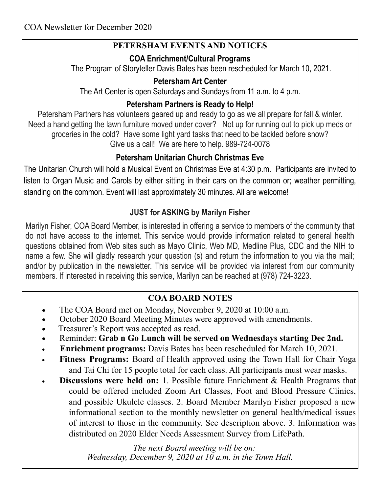# **PETERSHAM EVENTS AND NOTICES**

## **COA Enrichment/Cultural Programs**

The Program of Storyteller Davis Bates has been rescheduled for March 10, 2021.

## **Petersham Art Center**

The Art Center is open Saturdays and Sundays from 11 a.m. to 4 p.m.

# **Petersham Partners is Ready to Help!**

Petersham Partners has volunteers geared up and ready to go as we all prepare for fall & winter. Need a hand getting the lawn furniture moved under cover? Not up for running out to pick up meds or groceries in the cold? Have some light yard tasks that need to be tackled before snow? Give us a call! We are here to help. 989-724-0078

# **Petersham Unitarian Church Christmas Eve**

The Unitarian Church will hold a Musical Event on Christmas Eve at 4:30 p.m. Participants are invited to listen to Organ Music and Carols by either sitting in their cars on the common or; weather permitting, standing on the common. Event will last approximately 30 minutes. All are welcome!

# **JUST for ASKING by Marilyn Fisher**

Marilyn Fisher, COA Board Member, is interested in offering a service to members of the community that do not have access to the internet. This service would provide information related to general health questions obtained from Web sites such as Mayo Clinic, Web MD, Medline Plus, CDC and the NIH to name a few. She will gladly research your question (s) and return the information to you via the mail; and/or by publication in the newsletter. This service will be provided via interest from our community members. If interested in receiving this service, Marilyn can be reached at (978) 724-3223.

# **COA BOARD NOTES**

- The COA Board met on Monday, November 9, 2020 at 10:00 a.m.
- October 2020 Board Meeting Minutes were approved with amendments.
- Treasurer's Report was accepted as read.
- Reminder: **Grab n Go Lunch will be served on Wednesdays starting Dec 2nd.**
- **Enrichment programs:** Davis Bates has been rescheduled for March 10, 2021.
- **Fitness Programs:** Board of Health approved using the Town Hall for Chair Yoga and Tai Chi for 15 people total for each class. All participants must wear masks.
- **Discussions were held on:** 1. Possible future Enrichment & Health Programs that could be offered included Zoom Art Classes, Foot and Blood Pressure Clinics, and possible Ukulele classes. 2. Board Member Marilyn Fisher proposed a new informational section to the monthly newsletter on general health/medical issues of interest to those in the community. See description above. 3. Information was distributed on 2020 Elder Needs Assessment Survey from LifePath.

 *The next Board meeting will be on: Wednesday, December 9, 2020 at 10 a.m. in the Town Hall.*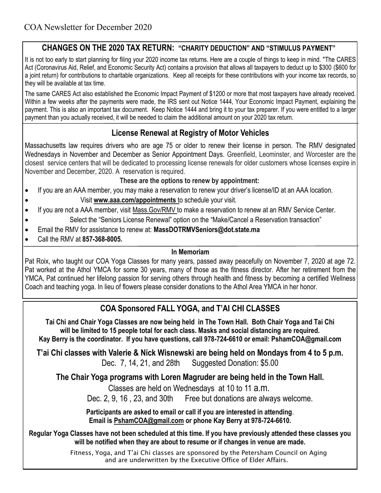### **CHANGES ON THE 2020 TAX RETURN: "CHARITY DEDUCTION" AND "STIMULUS PAYMENT"**

It is not too early to start planning for filing your 2020 income tax returns. Here are a couple of things to keep in mind. "The CARES Act (Coronavirus Aid, Relief, and Economic Security Act) contains a provision that allows all taxpayers to deduct up to \$300 (\$600 for a joint return) for contributions to charitable organizations. Keep all receipts for these contributions with your income tax records, so they will be available at tax time.

The same CARES Act also established the Economic Impact Payment of \$1200 or more that most taxpayers have already received. Within a few weeks after the payments were made, the IRS sent out Notice 1444, Your Economic Impact Payment, explaining the payment. This is also an important tax document. Keep Notice 1444 and bring it to your tax preparer. If you were entitled to a larger payment than you actually received, it will be needed to claim the additional amount on your 2020 tax return.

## **License Renewal at Registry of Motor Vehicles**

Massachusetts law requires drivers who are age 75 or older to renew their license in person. The RMV designated Wednesdays in November and December as Senior Appointment Days. Greenfield, Leominster, and Worcester are the closest service centers that will be dedicated to processing license renewals for older customers whose licenses expire in November and December, 2020. A reservation is required.

#### **These are the options to renew by appointment:**

- If you are an AAA member, you may make a reservation to renew your driver's license/ID at an AAA location.
	- Visit **www.aaa.com/appointments** to schedule your visit.
- If you are not a AAA member, visit Mass.Gov/RMV to make a reservation to renew at an RMV Service Center.
	- Select the "Seniors License Renewal" option on the "Make/Cancel a Reservation transaction"
- Email the RMV for assistance to renew at: **MassDOTRMVSeniors@dot.state.ma**
- Call the RMV at **857-368-8005.**

#### **In Memoriam**

Pat Roix, who taught our COA Yoga Classes for many years, passed away peacefully on November 7, 2020 at age 72. Pat worked at the Athol YMCA for some 30 years, many of those as the fitness director. After her retirement from the YMCA, Pat continued her lifelong passion for serving others through health and fitness by becoming a certified Wellness Coach and teaching yoga. In lieu of flowers please consider donations to the Athol Area YMCA in her honor.

## **COA Sponsored FALL YOGA, and T'AI CHI CLASSES**

**Tai Chi and Chair Yoga Classes are now being held in The Town Hall. Both Chair Yoga and Tai Chi will be limited to 15 people total for each class. Masks and social distancing are required. Kay Berry is the coordinator. If you have questions, call 978-724-6610 or email: PshamCOA@gmail.com**

**T'ai Chi classes with Valerie & Nick Wisnewski are being held on Mondays from 4 to 5 p.m.**  Dec. 7, 14, 21, and 28th Suggested Donation: \$5.00

**The Chair Yoga programs with Loren Magruder are being held in the Town Hall.**

Classes are held on Wednesdays at 10 to 11 a.m. Dec. 2, 9, 16 , 23, and 30th Free but donations are always welcome.

**Participants are asked to email or call if you are interested in attending**. **Email is [PshamCOA@gmail.com](mailto:PshamCOA@gmail.com) or phone Kay Berry at 978-724-6610.** 

**Regular Yoga Classes have not been scheduled at this time. If you have previously attended these classes you will be notified when they are about to resume or if changes in venue are made.**

> Fitness, Yoga, and T'ai Chi classes are sponsored by the Petersham Council on Aging and are underwritten by the Executive Office of Elder Affairs.